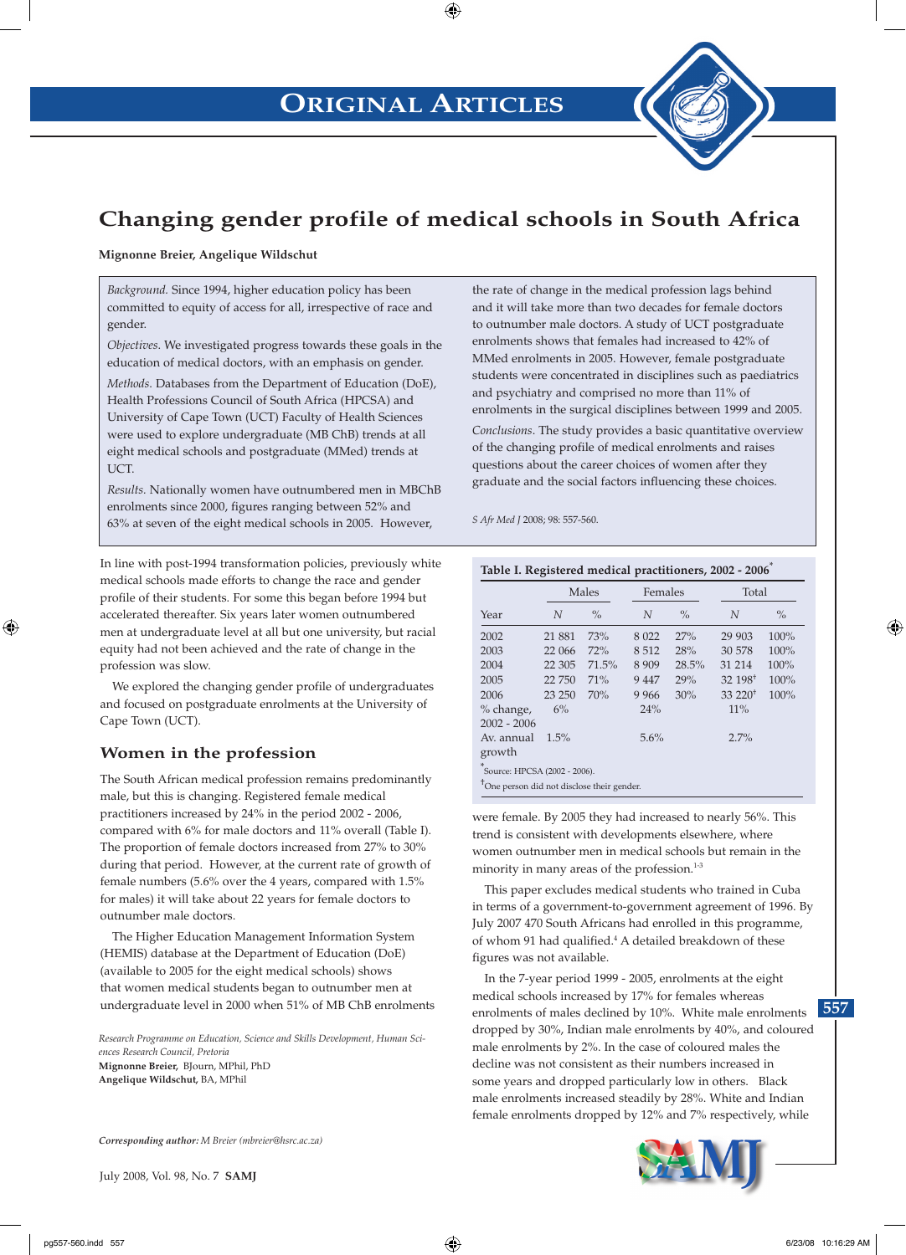# **ORIGINAL ARTICLES**



# **Changing gender profile of medical schools in South Africa**

⊕

**Mignonne Breier, Angelique Wildschut**

*Background.* Since 1994, higher education policy has been committed to equity of access for all, irrespective of race and gender.

*Objectives*. We investigated progress towards these goals in the education of medical doctors, with an emphasis on gender.

*Methods*. Databases from the Department of Education (DoE), Health Professions Council of South Africa (HPCSA) and University of Cape Town (UCT) Faculty of Health Sciences were used to explore undergraduate (MB ChB) trends at all eight medical schools and postgraduate (MMed) trends at UCT.

*Results.* Nationally women have outnumbered men in MBChB enrolments since 2000, figures ranging between 52% and 63% at seven of the eight medical schools in 2005. However,

In line with post-1994 transformation policies, previously white medical schools made efforts to change the race and gender profile of their students. For some this began before 1994 but accelerated thereafter. Six years later women outnumbered men at undergraduate level at all but one university, but racial equity had not been achieved and the rate of change in the profession was slow.

We explored the changing gender profile of undergraduates and focused on postgraduate enrolments at the University of Cape Town (UCT).

### **Women in the profession**

The South African medical profession remains predominantly male, but this is changing. Registered female medical practitioners increased by 24% in the period 2002 - 2006, compared with 6% for male doctors and 11% overall (Table I). The proportion of female doctors increased from 27% to 30% during that period. However, at the current rate of growth of female numbers (5.6% over the 4 years, compared with 1.5% for males) it will take about 22 years for female doctors to outnumber male doctors.

The Higher Education Management Information System (HEMIS) database at the Department of Education (DoE) (available to 2005 for the eight medical schools) shows that women medical students began to outnumber men at undergraduate level in 2000 when 51% of MB ChB enrolments

*Research Programme on Education, Science and Skills Development, Human Sciences Research Council, Pretoria* **Mignonne Breier,** BJourn, MPhil, PhD **Angelique Wildschut,** BA, MPhil

*Corresponding author: M Breier (mbreier@hsrc.ac.za)*

July 2008, Vol. 98, No. 7 **SAMJ**

the rate of change in the medical profession lags behind and it will take more than two decades for female doctors to outnumber male doctors. A study of UCT postgraduate enrolments shows that females had increased to 42% of MMed enrolments in 2005. However, female postgraduate students were concentrated in disciplines such as paediatrics and psychiatry and comprised no more than 11% of enrolments in the surgical disciplines between 1999 and 2005. *Conclusions*. The study provides a basic quantitative overview of the changing profile of medical enrolments and raises questions about the career choices of women after they graduate and the social factors influencing these choices.

*S Afr Med J* 2008; 98: 557-560.

| Year                                                       | Males   |       | Females |               | Total                 |               |
|------------------------------------------------------------|---------|-------|---------|---------------|-----------------------|---------------|
|                                                            | N       | $\%$  | N       | $\frac{0}{0}$ | N                     | $\frac{0}{0}$ |
| 2002                                                       | 21 881  | 73%   | 8 0 2 2 | 27%           | 29 903                | 100%          |
| 2003                                                       | 22 066  | 72%   | 8512    | 28%           | 30 578                | 100%          |
| 2004                                                       | 22 30 5 | 71.5% | 8 9 0 9 | 28.5%         | 31 214                | 100%          |
| 2005                                                       | 22 750  | 71%   | 9 4 4 7 | 29%           | $32,198$ <sup>+</sup> | 100%          |
| 2006                                                       | 23 250  | 70%   | 9 9 6 6 | 30%           | $33\ 220^+$           | 100%          |
| % change,<br>$2002 - 2006$                                 | 6%      |       | 24%     |               | 11%                   |               |
| Av. annual<br>growth<br>×.<br>Source: HPCSA (2002 - 2006). | 1.5%    |       | 5.6%    |               | 2.7%                  |               |

**Table I. Registered medical practitioners, 2002 - 2006**\*

were female. By 2005 they had increased to nearly 56%. This trend is consistent with developments elsewhere, where women outnumber men in medical schools but remain in the minority in many areas of the profession.<sup>1-3</sup>

This paper excludes medical students who trained in Cuba in terms of a government-to-government agreement of 1996. By July 2007 470 South Africans had enrolled in this programme, of whom 91 had qualified.<sup>4</sup> A detailed breakdown of these figures was not available.

In the 7-year period 1999 - 2005, enrolments at the eight medical schools increased by 17% for females whereas enrolments of males declined by 10%. White male enrolments dropped by 30%, Indian male enrolments by 40%, and coloured male enrolments by 2%. In the case of coloured males the decline was not consistent as their numbers increased in some years and dropped particularly low in others. Black male enrolments increased steadily by 28%. White and Indian female enrolments dropped by 12% and 7% respectively, while



⊕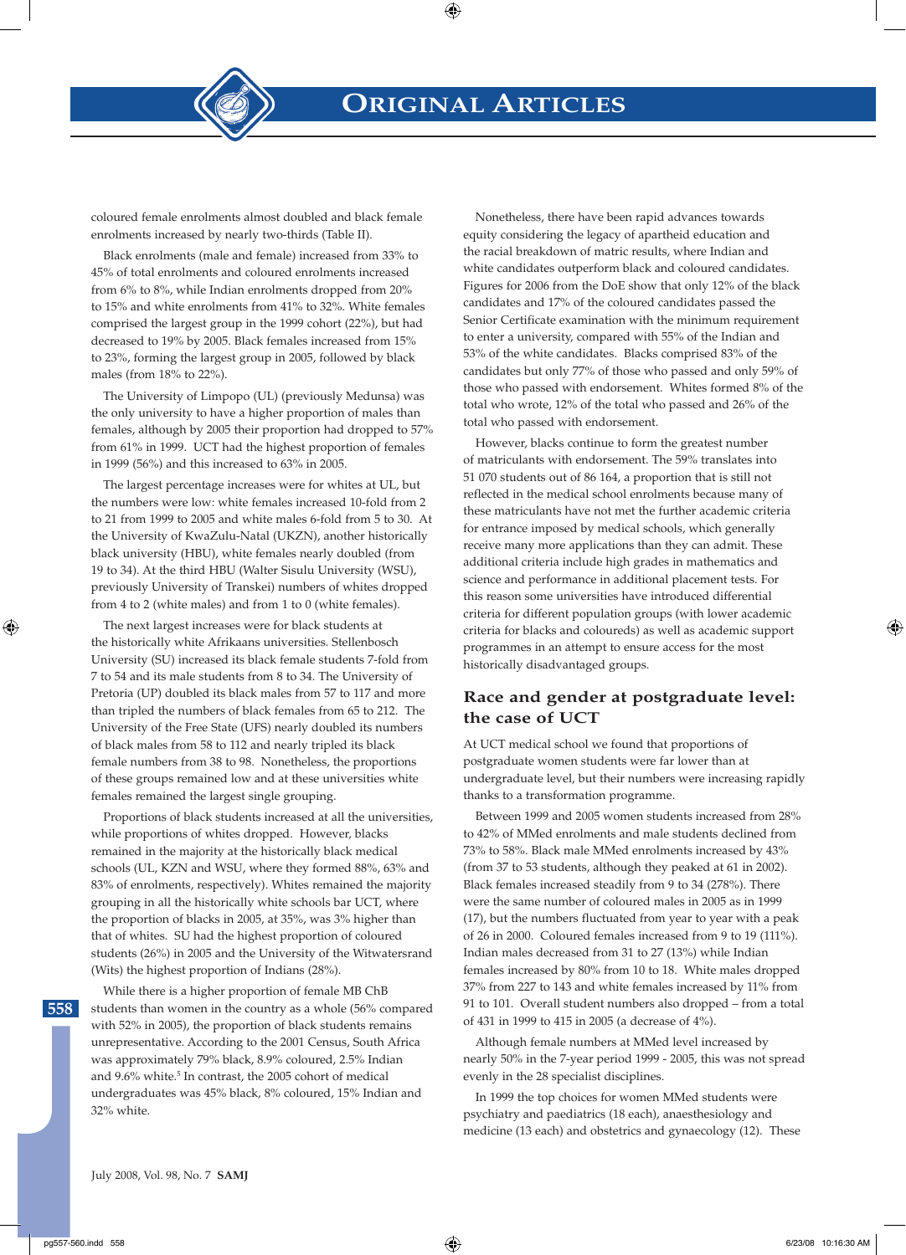

⊕

coloured female enrolments almost doubled and black female enrolments increased by nearly two-thirds (Table II).

Black enrolments (male and female) increased from 33% to 45% of total enrolments and coloured enrolments increased from 6% to 8%, while Indian enrolments dropped from 20% to 15% and white enrolments from 41% to 32%. White females comprised the largest group in the 1999 cohort (22%), but had decreased to 19% by 2005. Black females increased from 15% to 23%, forming the largest group in 2005, followed by black males (from 18% to 22%).

The University of Limpopo (UL) (previously Medunsa) was the only university to have a higher proportion of males than females, although by 2005 their proportion had dropped to 57% from 61% in 1999. UCT had the highest proportion of females in 1999 (56%) and this increased to 63% in 2005.

The largest percentage increases were for whites at UL, but the numbers were low: white females increased 10-fold from 2 to 21 from 1999 to 2005 and white males 6-fold from 5 to 30. At the University of KwaZulu-Natal (UKZN), another historically black university (HBU), white females nearly doubled (from 19 to 34). At the third HBU (Walter Sisulu University (WSU), previously University of Transkei) numbers of whites dropped from 4 to 2 (white males) and from 1 to 0 (white females).

The next largest increases were for black students at the historically white Afrikaans universities. Stellenbosch University (SU) increased its black female students 7-fold from 7 to 54 and its male students from 8 to 34. The University of Pretoria (UP) doubled its black males from 57 to 117 and more than tripled the numbers of black females from 65 to 212. The University of the Free State (UFS) nearly doubled its numbers of black males from 58 to 112 and nearly tripled its black female numbers from 38 to 98. Nonetheless, the proportions of these groups remained low and at these universities white females remained the largest single grouping.

Proportions of black students increased at all the universities, while proportions of whites dropped. However, blacks remained in the majority at the historically black medical schools (UL, KZN and WSU, where they formed 88%, 63% and 83% of enrolments, respectively). Whites remained the majority grouping in all the historically white schools bar UCT, where the proportion of blacks in 2005, at 35%, was 3% higher than that of whites. SU had the highest proportion of coloured students (26%) in 2005 and the University of the Witwatersrand (Wits) the highest proportion of Indians (28%).

While there is a higher proportion of female MB ChB students than women in the country as a whole (56% compared with 52% in 2005), the proportion of black students remains unrepresentative. According to the 2001 Census, South Africa was approximately 79% black, 8.9% coloured, 2.5% Indian and 9.6% white.<sup>5</sup> In contrast, the 2005 cohort of medical undergraduates was 45% black, 8% coloured, 15% Indian and 32% white.

Nonetheless, there have been rapid advances towards equity considering the legacy of apartheid education and the racial breakdown of matric results, where Indian and white candidates outperform black and coloured candidates. Figures for 2006 from the DoE show that only 12% of the black candidates and 17% of the coloured candidates passed the Senior Certificate examination with the minimum requirement to enter a university, compared with 55% of the Indian and 53% of the white candidates. Blacks comprised 83% of the candidates but only 77% of those who passed and only 59% of those who passed with endorsement. Whites formed 8% of the total who wrote, 12% of the total who passed and 26% of the total who passed with endorsement.

However, blacks continue to form the greatest number of matriculants with endorsement. The 59% translates into 51 070 students out of 86 164, a proportion that is still not reflected in the medical school enrolments because many of these matriculants have not met the further academic criteria for entrance imposed by medical schools, which generally receive many more applications than they can admit. These additional criteria include high grades in mathematics and science and performance in additional placement tests. For this reason some universities have introduced differential criteria for different population groups (with lower academic criteria for blacks and coloureds) as well as academic support programmes in an attempt to ensure access for the most historically disadvantaged groups.

## **Race and gender at postgraduate level: the case of UCT**

At UCT medical school we found that proportions of postgraduate women students were far lower than at undergraduate level, but their numbers were increasing rapidly thanks to a transformation programme.

Between 1999 and 2005 women students increased from 28% to 42% of MMed enrolments and male students declined from 73% to 58%. Black male MMed enrolments increased by 43% (from 37 to 53 students, although they peaked at 61 in 2002). Black females increased steadily from 9 to 34 (278%). There were the same number of coloured males in 2005 as in 1999 (17), but the numbers fluctuated from year to year with a peak of 26 in 2000. Coloured females increased from 9 to 19 (111%). Indian males decreased from 31 to 27 (13%) while Indian females increased by 80% from 10 to 18. White males dropped 37% from 227 to 143 and white females increased by 11% from 91 to 101. Overall student numbers also dropped – from a total of 431 in 1999 to 415 in 2005 (a decrease of 4%).

Although female numbers at MMed level increased by nearly 50% in the 7-year period 1999 - 2005, this was not spread evenly in the 28 specialist disciplines.

In 1999 the top choices for women MMed students were psychiatry and paediatrics (18 each), anaesthesiology and medicine (13 each) and obstetrics and gynaecology (12). These

**558**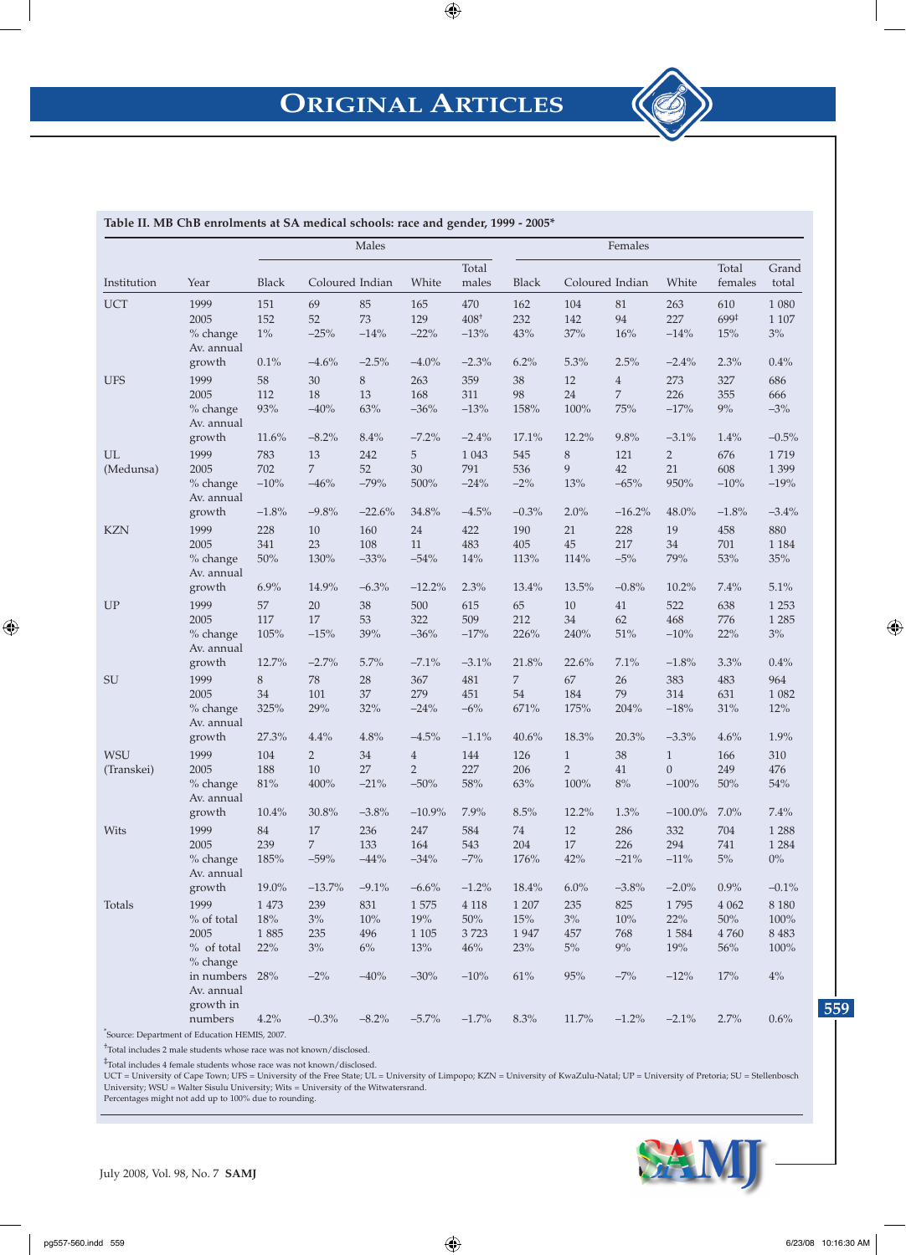# **ORIGINAL ARTICLES**



\* Source: Department of Education HEMIS, 2007.

† Total includes 2 male students whose race was not known/disclosed.

‡ Total includes 4 female students whose race was not known/disclosed.

UCT = University of Cape Town; UFS = University of the Free State; UL = University of Limpopo; KZN = University of KwaZulu-Natal; UP = University of Pretoria; SU = Stellenbosch University; WSU = Walter Sisulu University; Wits = University of the Witwatersrand.

Percentages might not add up to 100% due to rounding.



July 2008, Vol. 98, No. 7 **SAMJ**

 $\bigoplus$ 

 $\textcircled{\scriptsize{*}}$